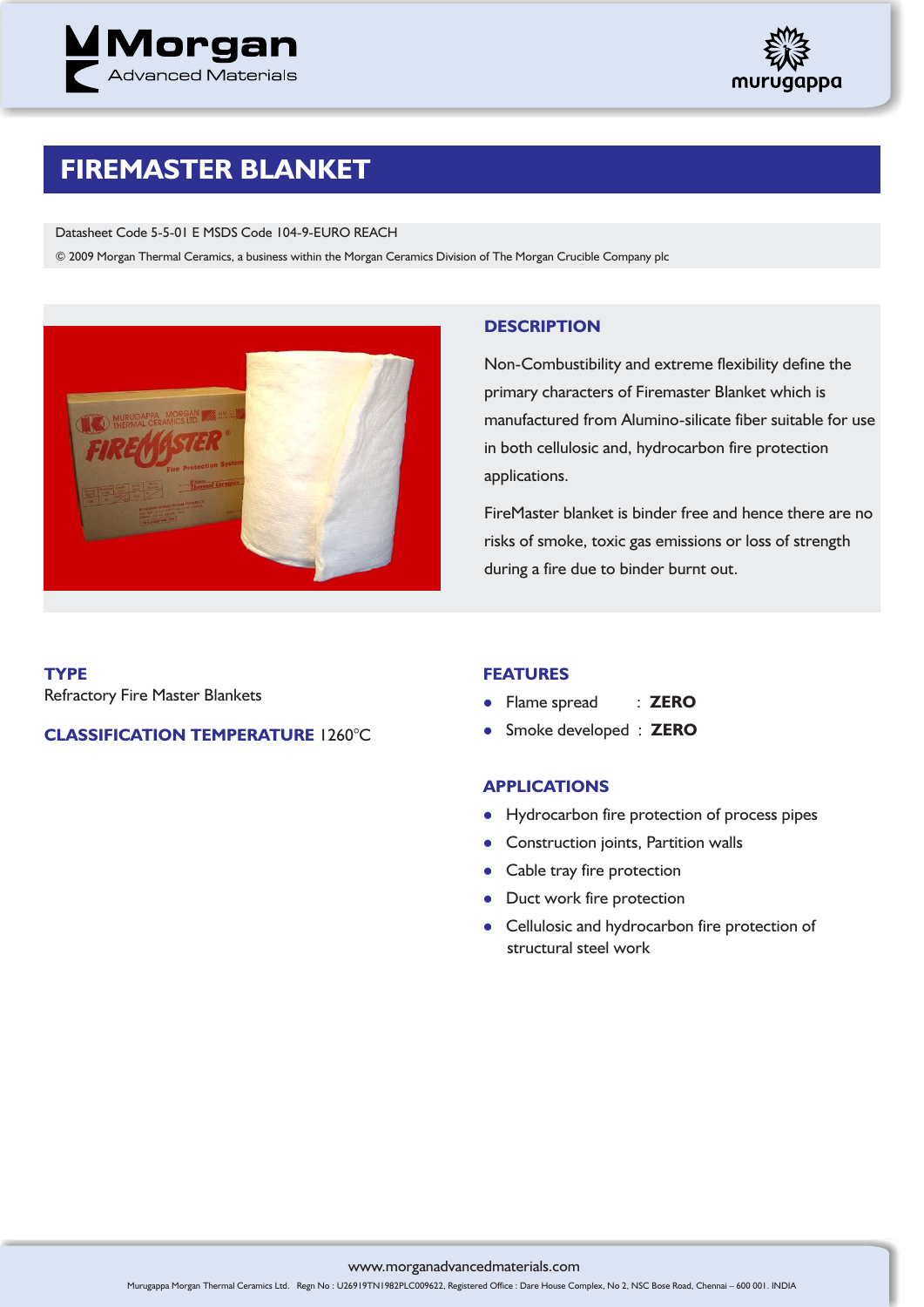



## **FIREMASTER BLANKET**

Datasheet Code 5-5-01 E MSDS Code 104-9-EURO REACH

© 2009 Morgan Thermal Ceramics, a business within the Morgan Ceramics Division of The Morgan Crucible Company plc



#### **DESCRIPTION**

Non-Combustibility and extreme flexibility define the primary characters of Firemaster Blanket which is manufactured from Alumino-silicate fiber suitable for use in both cellulosic and, hydrocarbon fire protection applications.

FireMaster blanket is binder free and hence there are no risks of smoke, toxic gas emissions or loss of strength during a fire due to binder burnt out.

#### **TYPE** Refractory Fire Master Blankets

**CLASSIFICATION TEMPERATURE** 1260°C

#### **FEATURES**

- $\bullet$ Flame spread : **ZERO**
- $\bullet$ Smoke developed : **ZERO**

### **APPLICATIONS**

- Hydrocarbon fire protection of process pipes
- **•** Construction joints, Partition walls
- Cable tray fire protection
- Duct work fire protection
- Cellulosic and hydrocarbon fire protection of structural steel work